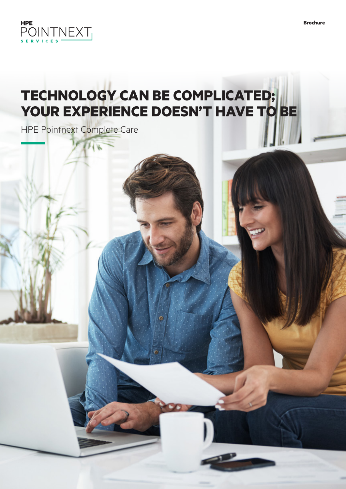

# **TECHNOLOGY CAN BE COMPLICATED; YOUR EXPERIENCE DOESN'T HAVE TO BE**

HPE Pointnext Complete Care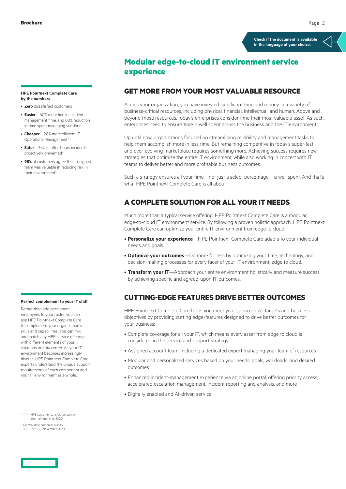**[Check if the document is available](https://www.hpe.com/psnow/collection-resources/a00117192ENW)  in the language of your choice.**

# **Modular edge-to-cloud IT environment service experience**

## **GET MORE FROM YOUR MOST VALUABLE RESOURCE**

Across your organization, you have invested significant time and money in a variety of business-critical resources, including physical, financial, intellectual, and human. Above and beyond those resources, today's enterprises consider time their most valuable asset. As such, enterprises need to ensure time is well spent across the business and the IT environment.

Up until now, organizations focused on streamlining reliability and management tasks to help them accomplish more in less time. But remaining competitive in today's super-fast and ever-evolving marketplace requires something more. Achieving success requires new strategies that optimize the entire IT environment, while also working in concert with IT teams to deliver better and more profitable business outcomes.

Such a strategy ensures all your time—not just a select percentage—is well spent. And that's what HPE Pointnext Complete Care is all about.

## **A COMPLETE SOLUTION FOR ALL YOUR IT NEEDS**

Much more than a typical service offering, HPE Pointnext Complete Care is a modular, edge-to-cloud IT environment service. By following a proven holistic approach, HPE Pointnext Complete Care can optimize your entire IT environment from edge to cloud.

- **Personalize your experience**—HPE Pointnext Complete Care adapts to your individual needs and goals.
- **Optimize your outcomes**—Do more for less by optimizing your time, technology, and decision-making processes for every facet of your IT environment, edge to cloud.
- **Transform your IT**—Approach your entire environment holistically and measure success by achieving specific and agreed-upon IT outcomes.

## **CUTTING-EDGE FEATURES DRIVE BETTER OUTCOMES**

HPE Pointnext Complete Care helps you meet your service-level targets and business objectives by providing cutting edge-features designed to drive better outcomes for your business:

- Complete coverage for all your IT, which means every asset from edge to cloud is considered in the service and support strategy
- Assigned account team, including a dedicated expert managing your team of resources
- Modular and personalized services based on your needs, goals, workloads, and desired outcomes
- Enhanced incident-management experience via an online portal, offering priority access, accelerated escalation management, incident reporting and analysis, and more
- Digitally enabled and AI-driven service

**HPE Pointnext Complete Care by the numbers**

- **Zero** dissatisfied customers<sup>1</sup>
- **Easier**—60% reduction in incident management time, and 80% reduction in time spent managing vendors<sup>2</sup>
- **Cheaper**—28% more efficient IT Operations Management<sup>3</sup>
- **Safer**—35% of after-hours incidents proactively prevented<sup>4</sup>
- **98%** of customers agree their assigned team was valuable in reducing risk in their environment<sup>5</sup>

#### **Perfect complement to your IT staff**

Rather than add permanent employees to your roster, you can use HPE Pointnext Complete Care to complement your organization's skills and capabilities. You can mix and match any HPE service offerings with different elements of your IT solutions or data center. As your IT environment becomes increasingly diverse, HPE Pointnext Complete Care experts understand the unique support requirements of each component and your IT environment as a whole.

1, 2, 3, 4 HPE customer satisfaction survey, internal reporting, 2020.

 $5$  TechValidate customer surve 88B-272-5B8, November 2020.

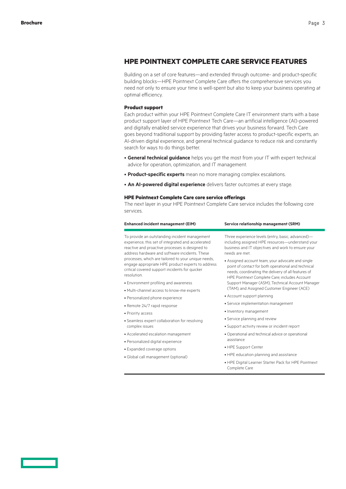## **HPE POINTNEXT COMPLETE CARE SERVICE FEATURES**

Building on a set of core features—and extended through outcome- and product-specific building blocks—HPE Pointnext Complete Care offers the comprehensive services you need not only to ensure your time is well-spent but also to keep your business operating at optimal efficiency.

#### **Product support**

Each product within your HPE Pointnext Complete Care IT environment starts with a base product support layer of HPE Pointnext Tech Care—an artificial intelligence (AI)-powered and digitally enabled service experience that drives your business forward. Tech Care goes beyond traditional support by providing faster access to product-specific experts, an AI-driven digital experience, and general technical guidance to reduce risk and constantly search for ways to do things better.

- **General technical guidance** helps you get the most from your IT with expert technical advice for operation, optimization, and IT management.
- **Product-specific experts** mean no more managing complex escalations.
- **An AI-powered digital experience** delivers faster outcomes at every stage.

#### **HPE Pointnext Complete Care core service offerings**

The next layer in your HPE Pointnext Complete Care service includes the following core services.

| <b>Enhanced incident management (EIM)</b>                                                                                                                                                                                                                                                                                                                                             | Service relationship management (SRM)                                                                                                                                                                            |
|---------------------------------------------------------------------------------------------------------------------------------------------------------------------------------------------------------------------------------------------------------------------------------------------------------------------------------------------------------------------------------------|------------------------------------------------------------------------------------------------------------------------------------------------------------------------------------------------------------------|
| To provide an outstanding incident management<br>experience, this set of integrated and accelerated<br>reactive and proactive processes is designed to<br>address hardware and software incidents. These<br>processes, which are tailored to your unique needs,<br>engage appropriate HPE product experts to address<br>critical covered support incidents for quicker<br>resolution. | Three experience levels (entry, basic, advanced)-<br>including assigned HPE resources-understand your<br>business and IT objectives and work to ensure your<br>needs are met                                     |
|                                                                                                                                                                                                                                                                                                                                                                                       | • Assigned account team; your advocate and single<br>point of contact for both operational and technical<br>needs, coordinating the delivery of all features of<br>HPE Pointnext Complete Care; includes Account |
| • Environment profiling and awareness                                                                                                                                                                                                                                                                                                                                                 | Support Manager (ASM), Technical Account Manager                                                                                                                                                                 |
| · Multi-channel access to know-me experts                                                                                                                                                                                                                                                                                                                                             | (TAM), and Assigned Customer Engineer (ACE)                                                                                                                                                                      |
| · Personalized phone experience                                                                                                                                                                                                                                                                                                                                                       | • Account support planning                                                                                                                                                                                       |
| • Remote 24/7 rapid response                                                                                                                                                                                                                                                                                                                                                          | • Service implementation management                                                                                                                                                                              |
| • Priority access                                                                                                                                                                                                                                                                                                                                                                     | • Inventory management                                                                                                                                                                                           |
| · Seamless expert collaboration for resolving<br>complex issues                                                                                                                                                                                                                                                                                                                       | • Service planning and review                                                                                                                                                                                    |
|                                                                                                                                                                                                                                                                                                                                                                                       | · Support activity review or incident report                                                                                                                                                                     |
| • Accelerated escalation management                                                                                                                                                                                                                                                                                                                                                   | • Operational and technical advice or operational                                                                                                                                                                |
| · Personalized digital experience                                                                                                                                                                                                                                                                                                                                                     | assistance                                                                                                                                                                                                       |
| • Expanded coverage options                                                                                                                                                                                                                                                                                                                                                           | • HPE Support Center                                                                                                                                                                                             |
| • Global call management (optional)                                                                                                                                                                                                                                                                                                                                                   | • HPE education planning and assistance                                                                                                                                                                          |
|                                                                                                                                                                                                                                                                                                                                                                                       | . HPE Digital Learner Starter Pack for HPE Pointnext<br>Complete Care                                                                                                                                            |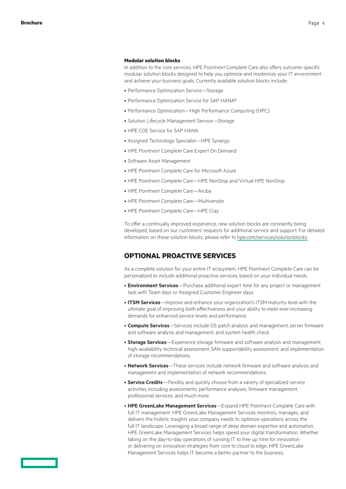#### **Modular solution blocks**

In addition to the core services, HPE Pointnext Complete Care also offers outcome-specific modular solution blocks designed to help you optimize and modernize your IT environment and achieve your business goals. Currently available solution blocks include:

- Performance Optimization Service—Storage
- Performance Optimization Service for SAP HANA®
- Performance Optimization—High Performance Computing (HPC)
- Solution Lifecycle Management Service—Storage
- HPE COE Service for SAP HANA
- Assigned Technology Specialist—HPE Synergy
- HPE Pointnext Complete Care Expert On Demand
- Software Asset Management
- HPE Pointnext Complete Care for Microsoft Azure
- HPE Pointnext Complete Care—HPE NonStop and Virtual HPE NonStop
- HPE Pointnext Complete Care—Aruba
- HPE Pointnext Complete Care—Multivendor
- HPE Pointnext Complete Care—HPE Cray

To offer a continually improved experience, new solution blocks are constantly being developed, based on our customers' requests for additional service and support. For detailed information on these solution blocks, please refer to [hpe.com/services/solutionblocks](http://www.hpe.com/services/solutionblocks).

### **OPTIONAL PROACTIVE SERVICES**

As a complete solution for your entire IT ecosystem, HPE Pointnext Complete Care can be personalized to include additional proactive services, based on your individual needs.

- **Environment Services**—Purchase additional expert time for any project or management task with Team days or Assigned Customer Engineer days.
- **ITSM Services**—Improve and enhance your organization's ITSM maturity level with the ultimate goal of improving both effectiveness and your ability to meet ever-increasing demands for enhanced service levels and performance.
- **Compute Services**—Services include OS patch analysis and management, server firmware and software analysis and management, and system health check.
- **Storage Services**—Experience storage firmware and software analysis and management, high-availability technical assessment, SAN supportability assessment, and implementation of storage recommendations.
- **Network Services**—These services include network firmware and software analysis and management and implementation of network recommendations.
- **Service Credits**—Flexibly and quickly choose from a variety of specialized service activities including assessments, performance analyses, firmware management, professional services, and much more.
- **HPE GreenLake Management Services**—Expand HPE Pointnext Complete Care with full IT management. HPE GreenLake Management Services monitors, manages, and delivers the holistic insights your company needs to optimize operations across the full IT landscape. Leveraging a broad range of deep domain expertise and automation, HPE GreenLake Management Services helps speed your digital transformation. Whether taking on the day-to-day operations of running IT to free up time for innovation or delivering on innovation strategies from core to cloud to edge, HPE GreenLake Management Services helps IT become a better partner to the business.